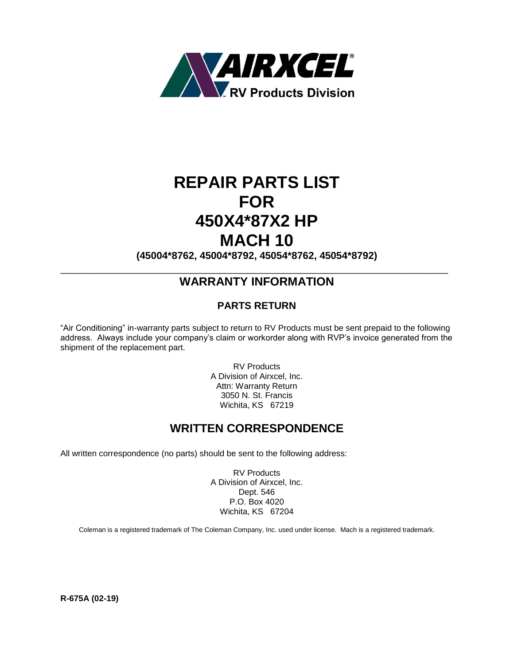

# **REPAIR PARTS LIST FOR 450X4\*87X2 HP MACH 10**

**(45004\*8762, 45004\*8792, 45054\*8762, 45054\*8792)**

### $\overline{a_1}$  ,  $\overline{a_2}$  ,  $\overline{a_3}$  ,  $\overline{a_4}$  ,  $\overline{a_5}$  ,  $\overline{a_6}$  ,  $\overline{a_7}$  ,  $\overline{a_8}$  ,  $\overline{a_9}$  ,  $\overline{a_9}$  ,  $\overline{a_9}$  ,  $\overline{a_9}$  ,  $\overline{a_9}$  ,  $\overline{a_9}$  ,  $\overline{a_9}$  ,  $\overline{a_9}$  ,  $\overline{a_9}$  , **WARRANTY INFORMATION**

### **PARTS RETURN**

"Air Conditioning" in-warranty parts subject to return to RV Products must be sent prepaid to the following address. Always include your company's claim or workorder along with RVP's invoice generated from the shipment of the replacement part.

> RV Products A Division of Airxcel, Inc. Attn: Warranty Return 3050 N. St. Francis Wichita, KS 67219

### **WRITTEN CORRESPONDENCE**

All written correspondence (no parts) should be sent to the following address:

RV Products A Division of Airxcel, Inc. Dept. 546 P.O. Box 4020 Wichita, KS 67204

Coleman is a registered trademark of The Coleman Company, Inc. used under license. Mach is a registered trademark.

**R-675A (02-19)**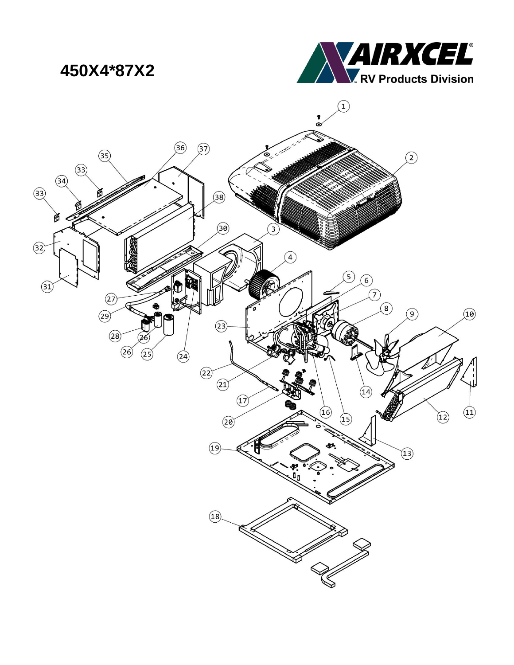# 450X4\*87X2



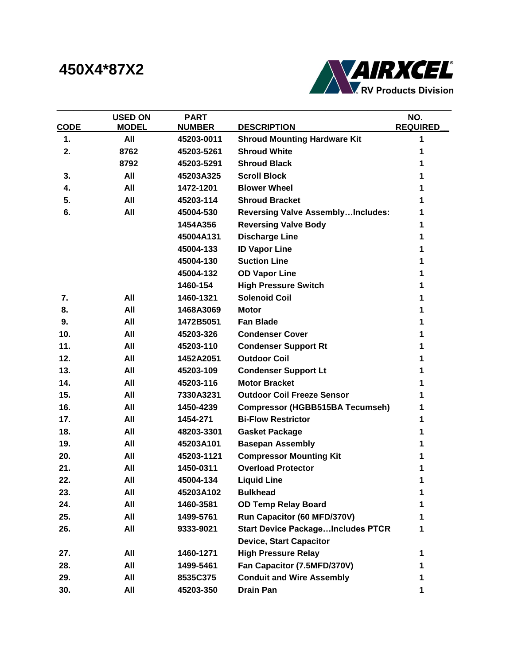## **450X4\*87X2**



|                 | <b>USED ON</b> | <b>PART</b>   |                                          | NO.             |
|-----------------|----------------|---------------|------------------------------------------|-----------------|
| <b>CODE</b>     | <b>MODEL</b>   | <b>NUMBER</b> | <b>DESCRIPTION</b>                       | <b>REQUIRED</b> |
| 1.              | All            | 45203-0011    | <b>Shroud Mounting Hardware Kit</b>      | 1               |
| 2.              | 8762           | 45203-5261    | <b>Shroud White</b>                      | 1               |
|                 | 8792           | 45203-5291    | <b>Shroud Black</b>                      | 1               |
| 3.              | All            | 45203A325     | <b>Scroll Block</b>                      | 1               |
| 4.              | All            | 1472-1201     | <b>Blower Wheel</b>                      | 1               |
| 5.              | All            | 45203-114     | <b>Shroud Bracket</b>                    | 1               |
| 6.              | All            | 45004-530     | <b>Reversing Valve AssemblyIncludes:</b> | 1               |
|                 |                | 1454A356      | <b>Reversing Valve Body</b>              | 1               |
|                 |                | 45004A131     | <b>Discharge Line</b>                    | 1               |
|                 |                | 45004-133     | <b>ID Vapor Line</b>                     | 1               |
|                 |                | 45004-130     | <b>Suction Line</b>                      | 1               |
|                 |                | 45004-132     | <b>OD Vapor Line</b>                     | 1               |
|                 |                | 1460-154      | <b>High Pressure Switch</b>              | 1               |
| 7.              | All            | 1460-1321     | <b>Solenoid Coil</b>                     | 1               |
| 8.              | All            | 1468A3069     | <b>Motor</b>                             | 1               |
| 9.              | All            | 1472B5051     | <b>Fan Blade</b>                         | 1               |
| 10 <sub>1</sub> | All            | 45203-326     | <b>Condenser Cover</b>                   | 1               |
| 11.             | All            | 45203-110     | <b>Condenser Support Rt</b>              | 1               |
| 12.             | All            | 1452A2051     | <b>Outdoor Coil</b>                      | 1               |
| 13.             | All            | 45203-109     | <b>Condenser Support Lt</b>              | 1               |
| 14.             | All            | 45203-116     | <b>Motor Bracket</b>                     | 1               |
| 15.             | All            | 7330A3231     | <b>Outdoor Coil Freeze Sensor</b>        | 1               |
| 16.             | All            | 1450-4239     | <b>Compressor (HGBB515BA Tecumseh)</b>   | 1               |
| 17.             | All            | 1454-271      | <b>Bi-Flow Restrictor</b>                | 1               |
| 18.             | All            | 48203-3301    | <b>Gasket Package</b>                    | 1               |
| 19.             | All            | 45203A101     | <b>Basepan Assembly</b>                  | 1               |
| 20.             | All            | 45203-1121    | <b>Compressor Mounting Kit</b>           | 1               |
| 21.             | All            | 1450-0311     | <b>Overload Protector</b>                | 1               |
| 22.             | All            | 45004-134     | <b>Liquid Line</b>                       | 1               |
| 23.             | All            | 45203A102     | <b>Bulkhead</b>                          | 1               |
| 24.             | All            | 1460-3581     | <b>OD Temp Relay Board</b>               | 1               |
| 25.             | All            | 1499-5761     | Run Capacitor (60 MFD/370V)              | 1               |
| 26.             | All            | 9333-9021     | <b>Start Device PackageIncludes PTCR</b> | 1               |
|                 |                |               | <b>Device, Start Capacitor</b>           |                 |
| 27.             | All            | 1460-1271     | <b>High Pressure Relay</b>               | 1               |
| 28.             | All            | 1499-5461     | Fan Capacitor (7.5MFD/370V)              | 1               |
| 29.             | All            | 8535C375      | <b>Conduit and Wire Assembly</b>         | 1               |
| 30.             | All            | 45203-350     | <b>Drain Pan</b>                         | 1               |